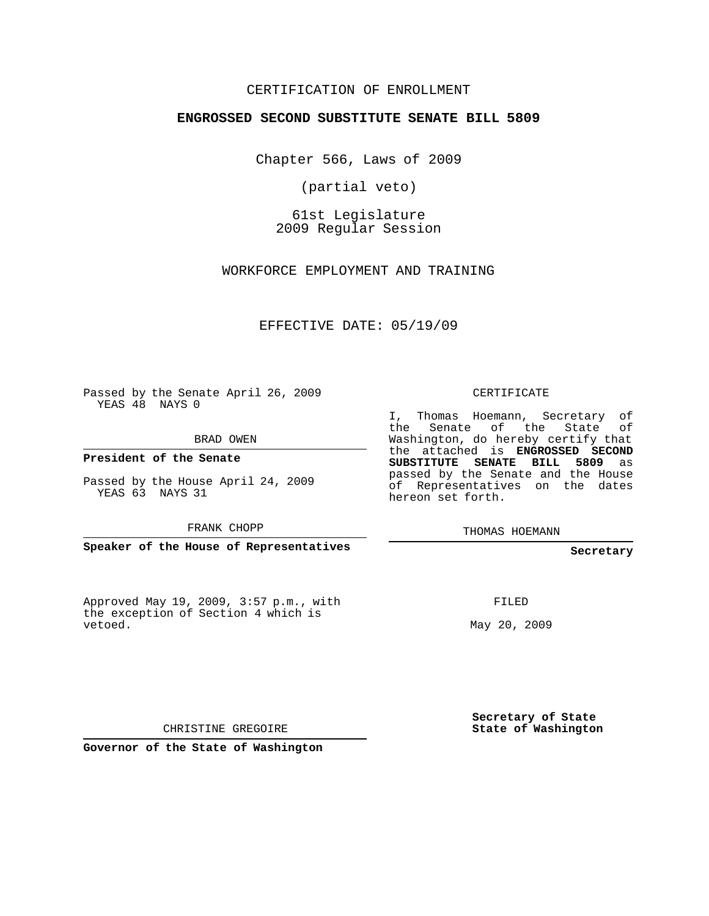## CERTIFICATION OF ENROLLMENT

## **ENGROSSED SECOND SUBSTITUTE SENATE BILL 5809**

Chapter 566, Laws of 2009

(partial veto)

61st Legislature 2009 Regular Session

WORKFORCE EMPLOYMENT AND TRAINING

EFFECTIVE DATE: 05/19/09

Passed by the Senate April 26, 2009 YEAS 48 NAYS 0

BRAD OWEN

**President of the Senate**

Passed by the House April 24, 2009 YEAS 63 NAYS 31

FRANK CHOPP

**Speaker of the House of Representatives**

Approved May 19, 2009, 3:57 p.m., with the exception of Section 4 which is vetoed.

CERTIFICATE

I, Thomas Hoemann, Secretary of the Senate of the State of Washington, do hereby certify that the attached is **ENGROSSED SECOND SUBSTITUTE SENATE BILL 5809** as passed by the Senate and the House of Representatives on the dates hereon set forth.

THOMAS HOEMANN

**Secretary**

FILED

May 20, 2009

**Secretary of State State of Washington**

CHRISTINE GREGOIRE

**Governor of the State of Washington**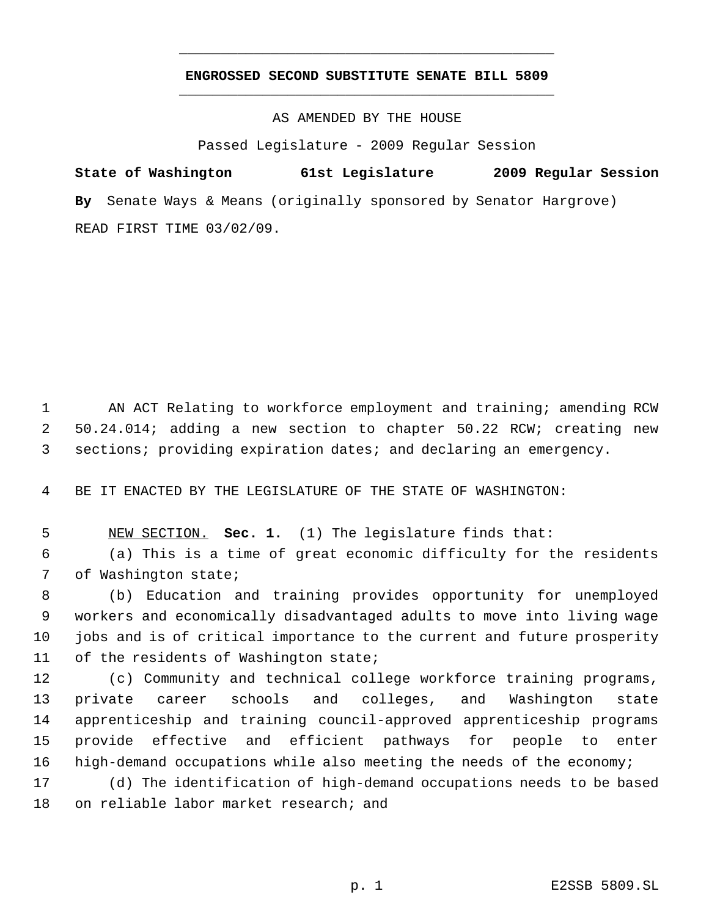## **ENGROSSED SECOND SUBSTITUTE SENATE BILL 5809** \_\_\_\_\_\_\_\_\_\_\_\_\_\_\_\_\_\_\_\_\_\_\_\_\_\_\_\_\_\_\_\_\_\_\_\_\_\_\_\_\_\_\_\_\_

\_\_\_\_\_\_\_\_\_\_\_\_\_\_\_\_\_\_\_\_\_\_\_\_\_\_\_\_\_\_\_\_\_\_\_\_\_\_\_\_\_\_\_\_\_

AS AMENDED BY THE HOUSE

Passed Legislature - 2009 Regular Session

**State of Washington 61st Legislature 2009 Regular Session By** Senate Ways & Means (originally sponsored by Senator Hargrove) READ FIRST TIME 03/02/09.

 AN ACT Relating to workforce employment and training; amending RCW 50.24.014; adding a new section to chapter 50.22 RCW; creating new sections; providing expiration dates; and declaring an emergency.

BE IT ENACTED BY THE LEGISLATURE OF THE STATE OF WASHINGTON:

NEW SECTION. **Sec. 1.** (1) The legislature finds that:

 (a) This is a time of great economic difficulty for the residents of Washington state;

 (b) Education and training provides opportunity for unemployed workers and economically disadvantaged adults to move into living wage jobs and is of critical importance to the current and future prosperity 11 of the residents of Washington state;

 (c) Community and technical college workforce training programs, private career schools and colleges, and Washington state apprenticeship and training council-approved apprenticeship programs provide effective and efficient pathways for people to enter high-demand occupations while also meeting the needs of the economy;

 (d) The identification of high-demand occupations needs to be based on reliable labor market research; and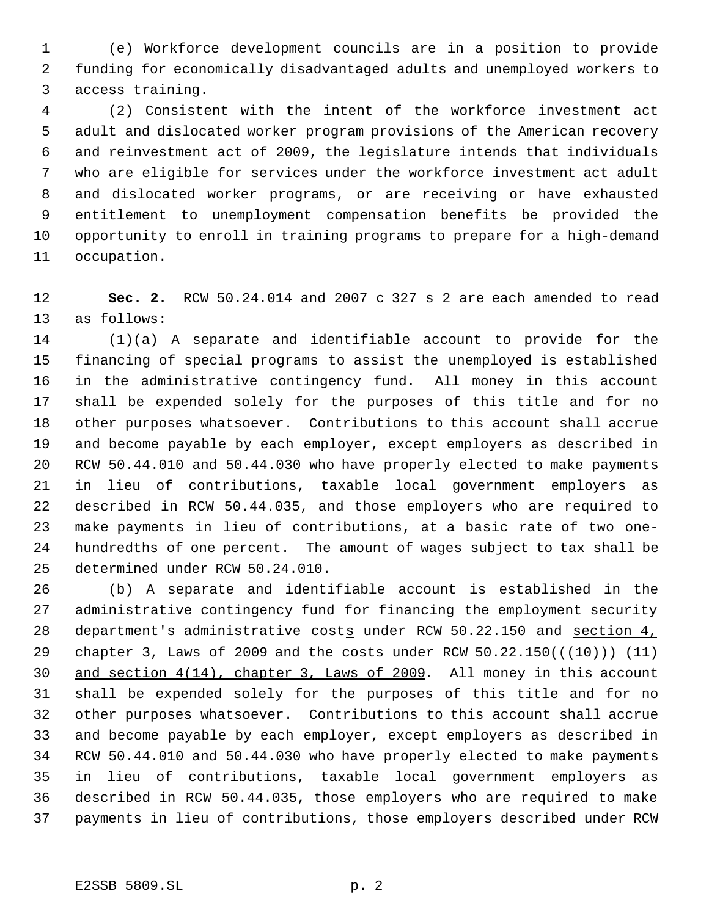(e) Workforce development councils are in a position to provide funding for economically disadvantaged adults and unemployed workers to access training.

 (2) Consistent with the intent of the workforce investment act adult and dislocated worker program provisions of the American recovery and reinvestment act of 2009, the legislature intends that individuals who are eligible for services under the workforce investment act adult and dislocated worker programs, or are receiving or have exhausted entitlement to unemployment compensation benefits be provided the opportunity to enroll in training programs to prepare for a high-demand occupation.

 **Sec. 2.** RCW 50.24.014 and 2007 c 327 s 2 are each amended to read as follows:

 (1)(a) A separate and identifiable account to provide for the financing of special programs to assist the unemployed is established in the administrative contingency fund. All money in this account shall be expended solely for the purposes of this title and for no other purposes whatsoever. Contributions to this account shall accrue and become payable by each employer, except employers as described in RCW 50.44.010 and 50.44.030 who have properly elected to make payments in lieu of contributions, taxable local government employers as described in RCW 50.44.035, and those employers who are required to make payments in lieu of contributions, at a basic rate of two one- hundredths of one percent. The amount of wages subject to tax shall be determined under RCW 50.24.010.

 (b) A separate and identifiable account is established in the administrative contingency fund for financing the employment security department's administrative costs under RCW 50.22.150 and section 4, 29 chapter 3, Laws of 2009 and the costs under RCW  $50.22.150((+10))$  (11) and section 4(14), chapter 3, Laws of 2009. All money in this account shall be expended solely for the purposes of this title and for no other purposes whatsoever. Contributions to this account shall accrue and become payable by each employer, except employers as described in RCW 50.44.010 and 50.44.030 who have properly elected to make payments in lieu of contributions, taxable local government employers as described in RCW 50.44.035, those employers who are required to make payments in lieu of contributions, those employers described under RCW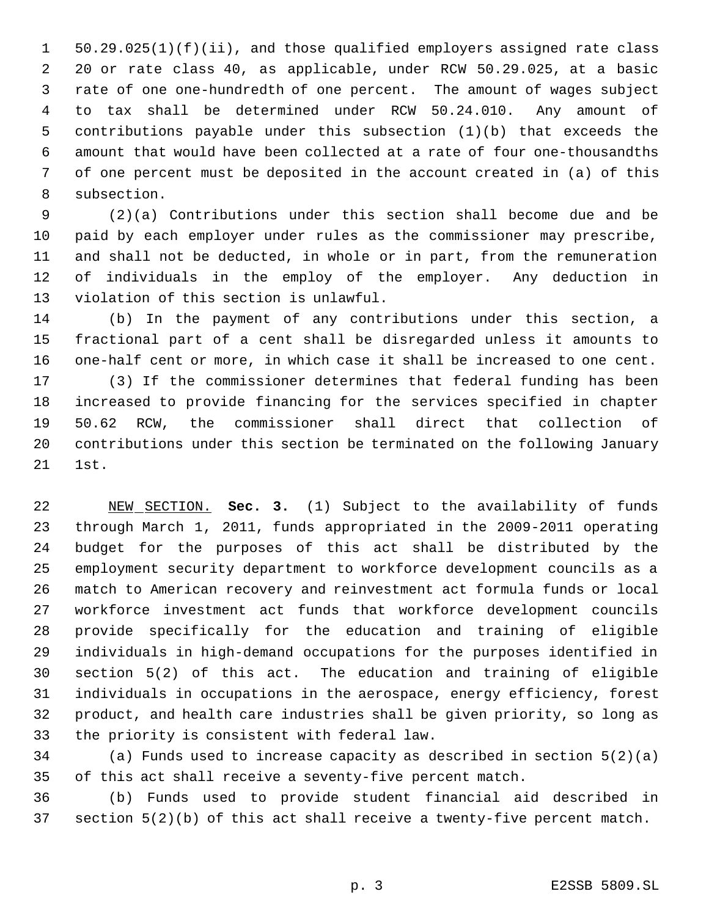50.29.025(1)(f)(ii), and those qualified employers assigned rate class 20 or rate class 40, as applicable, under RCW 50.29.025, at a basic rate of one one-hundredth of one percent. The amount of wages subject to tax shall be determined under RCW 50.24.010. Any amount of contributions payable under this subsection (1)(b) that exceeds the amount that would have been collected at a rate of four one-thousandths of one percent must be deposited in the account created in (a) of this subsection.

 (2)(a) Contributions under this section shall become due and be paid by each employer under rules as the commissioner may prescribe, and shall not be deducted, in whole or in part, from the remuneration of individuals in the employ of the employer. Any deduction in violation of this section is unlawful.

 (b) In the payment of any contributions under this section, a fractional part of a cent shall be disregarded unless it amounts to one-half cent or more, in which case it shall be increased to one cent. (3) If the commissioner determines that federal funding has been increased to provide financing for the services specified in chapter 50.62 RCW, the commissioner shall direct that collection of contributions under this section be terminated on the following January 1st.

 NEW SECTION. **Sec. 3.** (1) Subject to the availability of funds through March 1, 2011, funds appropriated in the 2009-2011 operating budget for the purposes of this act shall be distributed by the employment security department to workforce development councils as a match to American recovery and reinvestment act formula funds or local workforce investment act funds that workforce development councils provide specifically for the education and training of eligible individuals in high-demand occupations for the purposes identified in section 5(2) of this act. The education and training of eligible individuals in occupations in the aerospace, energy efficiency, forest product, and health care industries shall be given priority, so long as the priority is consistent with federal law.

 (a) Funds used to increase capacity as described in section 5(2)(a) of this act shall receive a seventy-five percent match.

 (b) Funds used to provide student financial aid described in section 5(2)(b) of this act shall receive a twenty-five percent match.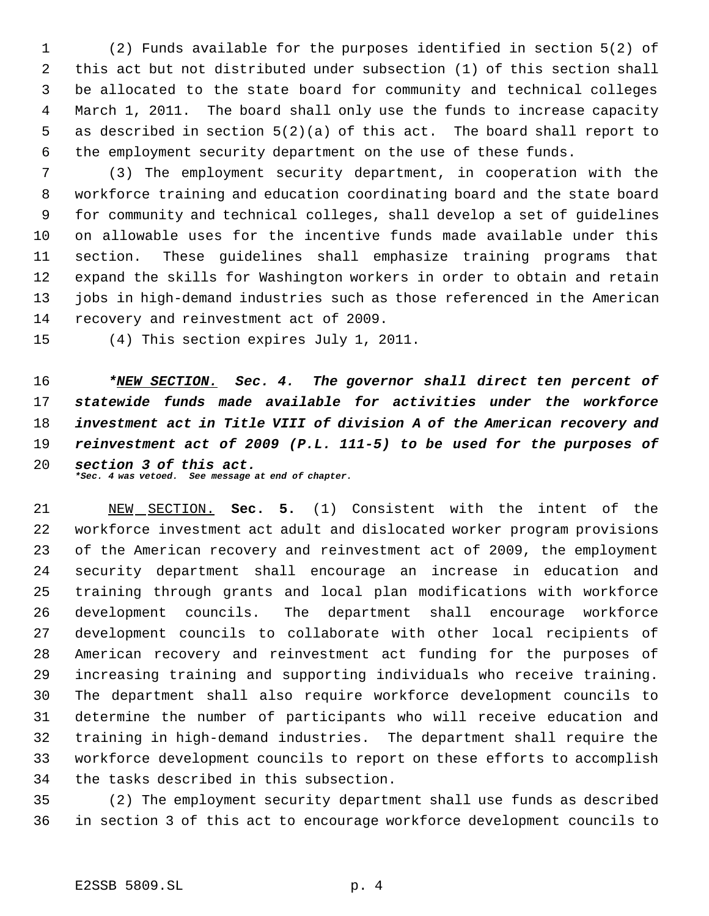(2) Funds available for the purposes identified in section 5(2) of this act but not distributed under subsection (1) of this section shall be allocated to the state board for community and technical colleges March 1, 2011. The board shall only use the funds to increase capacity as described in section 5(2)(a) of this act. The board shall report to the employment security department on the use of these funds.

 (3) The employment security department, in cooperation with the workforce training and education coordinating board and the state board for community and technical colleges, shall develop a set of guidelines on allowable uses for the incentive funds made available under this section. These guidelines shall emphasize training programs that expand the skills for Washington workers in order to obtain and retain jobs in high-demand industries such as those referenced in the American recovery and reinvestment act of 2009.

(4) This section expires July 1, 2011.

 *\*NEW SECTION. Sec. 4. The governor shall direct ten percent of statewide funds made available for activities under the workforce investment act in Title VIII of division A of the American recovery and reinvestment act of 2009 (P.L. 111-5) to be used for the purposes of section 3 of this act.*

*\*Sec. 4 was vetoed. See message at end of chapter.*

 NEW SECTION. **Sec. 5.** (1) Consistent with the intent of the workforce investment act adult and dislocated worker program provisions of the American recovery and reinvestment act of 2009, the employment security department shall encourage an increase in education and training through grants and local plan modifications with workforce development councils. The department shall encourage workforce development councils to collaborate with other local recipients of American recovery and reinvestment act funding for the purposes of increasing training and supporting individuals who receive training. The department shall also require workforce development councils to determine the number of participants who will receive education and training in high-demand industries. The department shall require the workforce development councils to report on these efforts to accomplish the tasks described in this subsection.

 (2) The employment security department shall use funds as described in section 3 of this act to encourage workforce development councils to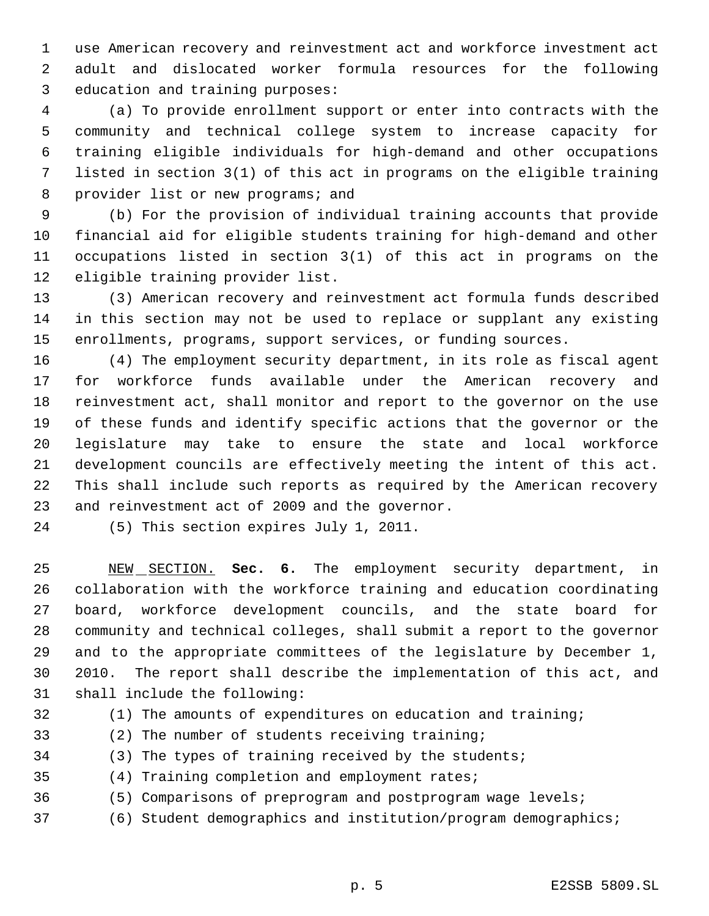use American recovery and reinvestment act and workforce investment act adult and dislocated worker formula resources for the following education and training purposes:

 (a) To provide enrollment support or enter into contracts with the community and technical college system to increase capacity for training eligible individuals for high-demand and other occupations listed in section 3(1) of this act in programs on the eligible training 8 provider list or new programs; and

 (b) For the provision of individual training accounts that provide financial aid for eligible students training for high-demand and other occupations listed in section 3(1) of this act in programs on the eligible training provider list.

 (3) American recovery and reinvestment act formula funds described in this section may not be used to replace or supplant any existing enrollments, programs, support services, or funding sources.

 (4) The employment security department, in its role as fiscal agent for workforce funds available under the American recovery and reinvestment act, shall monitor and report to the governor on the use of these funds and identify specific actions that the governor or the legislature may take to ensure the state and local workforce development councils are effectively meeting the intent of this act. This shall include such reports as required by the American recovery and reinvestment act of 2009 and the governor.

(5) This section expires July 1, 2011.

 NEW SECTION. **Sec. 6.** The employment security department, in collaboration with the workforce training and education coordinating board, workforce development councils, and the state board for community and technical colleges, shall submit a report to the governor and to the appropriate committees of the legislature by December 1, 2010. The report shall describe the implementation of this act, and shall include the following:

(1) The amounts of expenditures on education and training;

- (2) The number of students receiving training;
- (3) The types of training received by the students;
- (4) Training completion and employment rates;
- (5) Comparisons of preprogram and postprogram wage levels;
- (6) Student demographics and institution/program demographics;